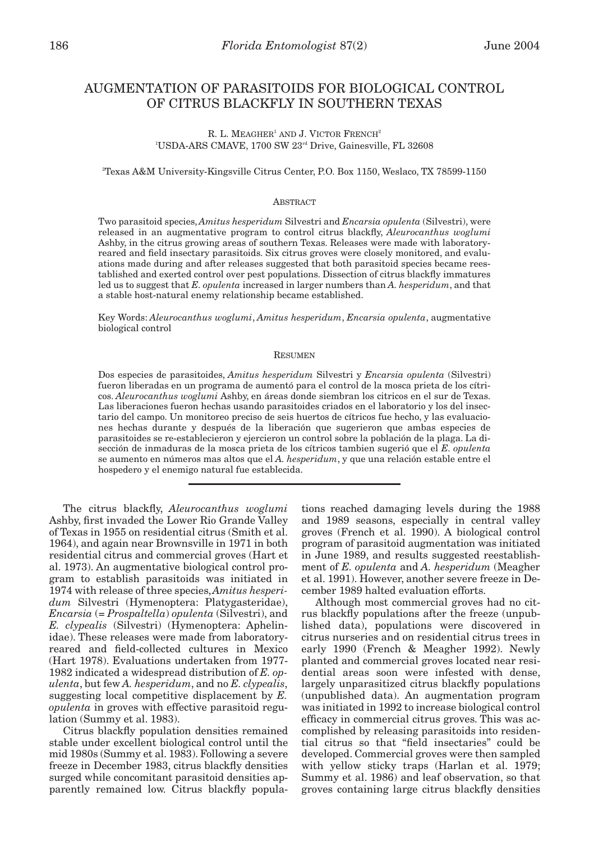# AUGMENTATION OF PARASITOIDS FOR BIOLOGICAL CONTROL OF CITRUS BLACKFLY IN SOUTHERN TEXAS

# R. L. MEAGHER<sup>1</sup> AND J. VICTOR FRENCH<sup>2</sup> 1 USDA-ARS CMAVE, 1700 SW 23rd Drive, Gainesville, FL 32608

### 2 Texas A&M University-Kingsville Citrus Center, P.O. Box 1150, Weslaco, TX 78599-1150

### ABSTRACT

Two parasitoid species, *Amitus hesperidum* Silvestri and *Encarsia opulenta* (Silvestri), were released in an augmentative program to control citrus blackfly, *Aleurocanthus woglumi* Ashby, in the citrus growing areas of southern Texas. Releases were made with laboratoryreared and field insectary parasitoids. Six citrus groves were closely monitored, and evaluations made during and after releases suggested that both parasitoid species became reestablished and exerted control over pest populations. Dissection of citrus blackfly immatures led us to suggest that *E. opulenta* increased in larger numbers than *A. hesperidum*, and that a stable host-natural enemy relationship became established.

Key Words: *Aleurocanthus woglumi*, *Amitus hesperidum*, *Encarsia opulenta*, augmentative biological control

### **RESUMEN**

Dos especies de parasitoides, *Amitus hesperidum* Silvestri y *Encarsia opulenta* (Silvestri) fueron liberadas en un programa de aumentó para el control de la mosca prieta de los cítricos. *Aleurocanthus woglumi* Ashby, en áreas donde siembran los citricos en el sur de Texas. Las liberaciones fueron hechas usando parasitoides criados en el laboratorio y los del insectario del campo. Un monitoreo preciso de seis huertos de cítricos fue hecho, y las evaluaciones hechas durante y después de la liberación que sugerieron que ambas especies de parasitoides se re-establecieron y ejercieron un control sobre la población de la plaga. La disección de inmaduras de la mosca prieta de los cítricos tambien sugerió que el *E. opulenta* se aumento en números mas altos que el *A. hesperidum*, y que una relación estable entre el hospedero y el enemigo natural fue establecida.

The citrus blackfly, *Aleurocanthus woglumi* Ashby, first invaded the Lower Rio Grande Valley of Texas in 1955 on residential citrus (Smith et al. 1964), and again near Brownsville in 1971 in both residential citrus and commercial groves (Hart et al. 1973). An augmentative biological control program to establish parasitoids was initiated in 1974 with release of three species, *Amitus hesperidum* Silvestri (Hymenoptera: Platygasteridae), *Encarsia* (= *Prospaltella*) *opulenta* (Silvestri), and *E. clypealis* (Silvestri) (Hymenoptera: Aphelinidae). These releases were made from laboratoryreared and field-collected cultures in Mexico (Hart 1978). Evaluations undertaken from 1977- 1982 indicated a widespread distribution of *E. opulenta*, but few *A. hesperidum*, and no *E. clypealis*, suggesting local competitive displacement by *E. opulenta* in groves with effective parasitoid regulation (Summy et al. 1983).

Citrus blackfly population densities remained stable under excellent biological control until the mid 1980s (Summy et al. 1983). Following a severe freeze in December 1983, citrus blackfly densities surged while concomitant parasitoid densities apparently remained low. Citrus blackfly popula-

tions reached damaging levels during the 1988 and 1989 seasons, especially in central valley groves (French et al. 1990). A biological control program of parasitoid augmentation was initiated in June 1989, and results suggested reestablishment of *E. opulenta* and *A. hesperidum* (Meagher et al. 1991). However, another severe freeze in December 1989 halted evaluation efforts.

Although most commercial groves had no citrus blackfly populations after the freeze (unpublished data), populations were discovered in citrus nurseries and on residential citrus trees in early 1990 (French & Meagher 1992). Newly planted and commercial groves located near residential areas soon were infested with dense, largely unparasitized citrus blackfly populations (unpublished data). An augmentation program was initiated in 1992 to increase biological control efficacy in commercial citrus groves. This was accomplished by releasing parasitoids into residential citrus so that "field insectaries" could be developed. Commercial groves were then sampled with yellow sticky traps (Harlan et al. 1979; Summy et al. 1986) and leaf observation, so that groves containing large citrus blackfly densities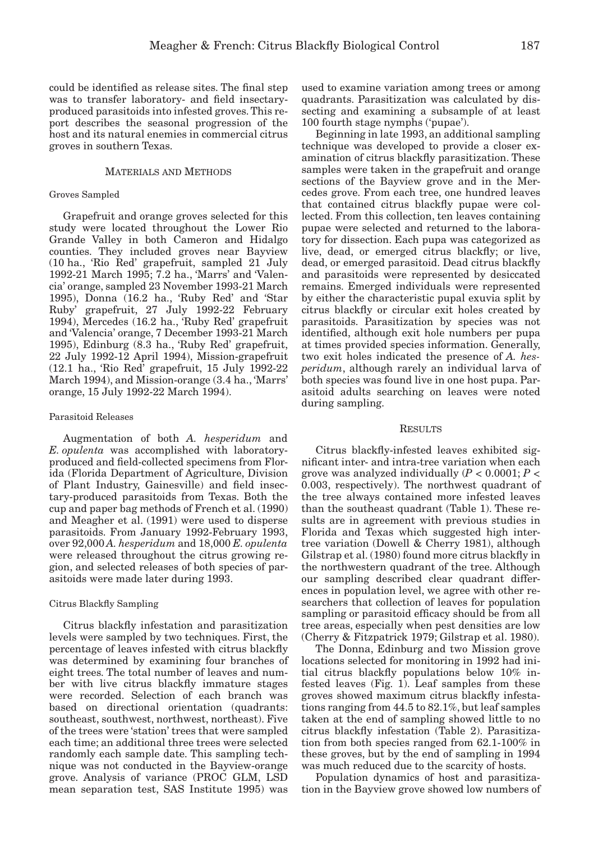could be identified as release sites. The final step was to transfer laboratory- and field insectaryproduced parasitoids into infested groves. This report describes the seasonal progression of the host and its natural enemies in commercial citrus groves in southern Texas.

# MATERIALS AND METHODS

# Groves Sampled

Grapefruit and orange groves selected for this study were located throughout the Lower Rio Grande Valley in both Cameron and Hidalgo counties. They included groves near Bayview (10 ha., 'Rio Red' grapefruit, sampled 21 July 1992-21 March 1995; 7.2 ha., 'Marrs' and 'Valencia' orange, sampled 23 November 1993-21 March 1995), Donna (16.2 ha., 'Ruby Red' and 'Star Ruby' grapefruit, 27 July 1992-22 February 1994), Mercedes (16.2 ha., 'Ruby Red' grapefruit and 'Valencia' orange, 7 December 1993-21 March 1995), Edinburg (8.3 ha., 'Ruby Red' grapefruit, 22 July 1992-12 April 1994), Mission-grapefruit (12.1 ha., 'Rio Red' grapefruit, 15 July 1992-22 March 1994), and Mission-orange (3.4 ha., 'Marrs' orange, 15 July 1992-22 March 1994).

# Parasitoid Releases

Augmentation of both *A. hesperidum* and *E. opulenta* was accomplished with laboratoryproduced and field-collected specimens from Florida (Florida Department of Agriculture, Division of Plant Industry, Gainesville) and field insectary-produced parasitoids from Texas. Both the cup and paper bag methods of French et al. (1990) and Meagher et al. (1991) were used to disperse parasitoids. From January 1992-February 1993, over 92,000 *A. hesperidum* and 18,000 *E. opulenta* were released throughout the citrus growing region, and selected releases of both species of parasitoids were made later during 1993.

### Citrus Blackfly Sampling

Citrus blackfly infestation and parasitization levels were sampled by two techniques. First, the percentage of leaves infested with citrus blackfly was determined by examining four branches of eight trees. The total number of leaves and number with live citrus blackfly immature stages were recorded. Selection of each branch was based on directional orientation (quadrants: southeast, southwest, northwest, northeast). Five of the trees were 'station' trees that were sampled each time; an additional three trees were selected randomly each sample date. This sampling technique was not conducted in the Bayview-orange grove. Analysis of variance (PROC GLM, LSD mean separation test, SAS Institute 1995) was

used to examine variation among trees or among quadrants. Parasitization was calculated by dissecting and examining a subsample of at least 100 fourth stage nymphs ('pupae').

Beginning in late 1993, an additional sampling technique was developed to provide a closer examination of citrus blackfly parasitization. These samples were taken in the grapefruit and orange sections of the Bayview grove and in the Mercedes grove. From each tree, one hundred leaves that contained citrus blackfly pupae were collected. From this collection, ten leaves containing pupae were selected and returned to the laboratory for dissection. Each pupa was categorized as live, dead, or emerged citrus blackfly; or live, dead, or emerged parasitoid. Dead citrus blackfly and parasitoids were represented by desiccated remains. Emerged individuals were represented by either the characteristic pupal exuvia split by citrus blackfly or circular exit holes created by parasitoids. Parasitization by species was not identified, although exit hole numbers per pupa at times provided species information. Generally, two exit holes indicated the presence of *A. hesperidum*, although rarely an individual larva of both species was found live in one host pupa. Parasitoid adults searching on leaves were noted during sampling.

### **RESULTS**

Citrus blackfly-infested leaves exhibited significant inter- and intra-tree variation when each grove was analyzed individually (*P* < 0.0001; *P* < 0.003, respectively). The northwest quadrant of the tree always contained more infested leaves than the southeast quadrant (Table 1). These results are in agreement with previous studies in Florida and Texas which suggested high intertree variation (Dowell & Cherry 1981), although Gilstrap et al. (1980) found more citrus blackfly in the northwestern quadrant of the tree. Although our sampling described clear quadrant differences in population level, we agree with other researchers that collection of leaves for population sampling or parasitoid efficacy should be from all tree areas, especially when pest densities are low (Cherry & Fitzpatrick 1979; Gilstrap et al. 1980).

The Donna, Edinburg and two Mission grove locations selected for monitoring in 1992 had initial citrus blackfly populations below 10% infested leaves (Fig. 1). Leaf samples from these groves showed maximum citrus blackfly infestations ranging from 44.5 to 82.1%, but leaf samples taken at the end of sampling showed little to no citrus blackfly infestation (Table 2). Parasitization from both species ranged from 62.1-100% in these groves, but by the end of sampling in 1994 was much reduced due to the scarcity of hosts.

Population dynamics of host and parasitization in the Bayview grove showed low numbers of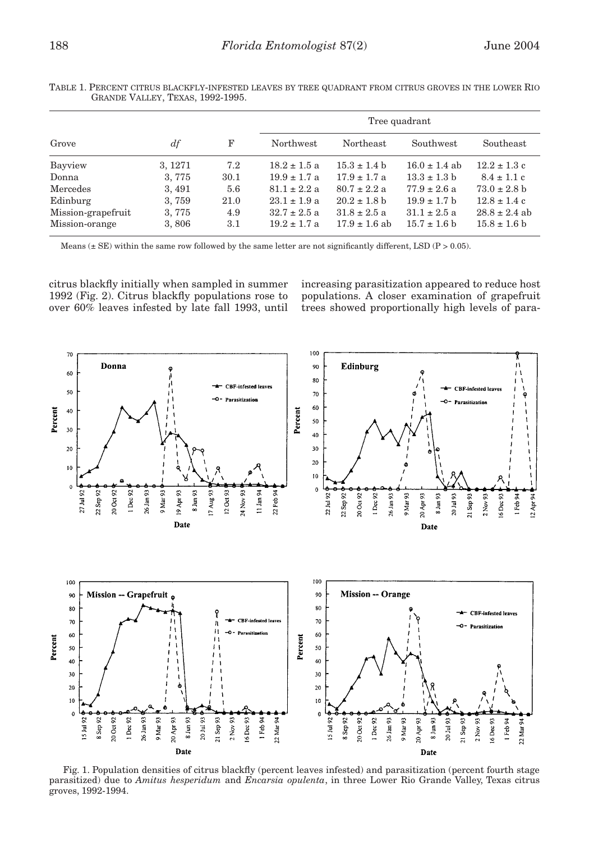|                    |         |      | Tree quadrant    |                   |                   |                   |
|--------------------|---------|------|------------------|-------------------|-------------------|-------------------|
| Grove              | $\,df$  | F    | Northwest        | Northeast         | Southwest         | Southeast         |
| Bayview            | 3, 1271 | 7.2  | $18.2 \pm 1.5$ a | $15.3 \pm 1.4 h$  | $16.0 \pm 1.4$ ab | $12.2 \pm 1.3$ c  |
| Donna              | 3,775   | 30.1 | $19.9 \pm 1.7$ a | $17.9 \pm 1.7$ a  | $13.3 \pm 1.3$ b  | $8.4 \pm 1.1$ c   |
| Mercedes           | 3, 491  | 5.6  | $81.1 \pm 2.2 a$ | $80.7 \pm 2.2$ a  | $77.9 \pm 2.6$ a  | $73.0 \pm 2.8$ b  |
| Edinburg           | 3,759   | 21.0 | $23.1 \pm 1.9$ a | $20.2 \pm 1.8$ b  | $19.9 \pm 1.7$ b  | $12.8 \pm 1.4$ c  |
| Mission-grapefruit | 3,775   | 4.9  | $32.7 \pm 2.5$ a | $31.8 \pm 2.5$ a  | $31.1 \pm 2.5$ a  | $28.8 \pm 2.4$ ab |
| Mission-orange     | 3,806   | 3.1  | $19.2 \pm 1.7$ a | $17.9 \pm 1.6$ ab | $15.7 \pm 1.6$ b  | $15.8 \pm 1.6$ b  |

TABLE 1. PERCENT CITRUS BLACKFLY-INFESTED LEAVES BY TREE QUADRANT FROM CITRUS GROVES IN THE LOWER RIO GRANDE VALLEY, TEXAS, 1992-1995.

Means  $(\pm$  SE) within the same row followed by the same letter are not significantly different, LSD (P > 0.05).

citrus blackfly initially when sampled in summer 1992 (Fig. 2). Citrus blackfly populations rose to over 60% leaves infested by late fall 1993, until increasing parasitization appeared to reduce host populations. A closer examination of grapefruit trees showed proportionally high levels of para-



Fig. 1. Population densities of citrus blackfly (percent leaves infested) and parasitization (percent fourth stage parasitized) due to *Amitus hesperidum* and *Encarsia opulenta*, in three Lower Rio Grande Valley, Texas citrus groves, 1992-1994.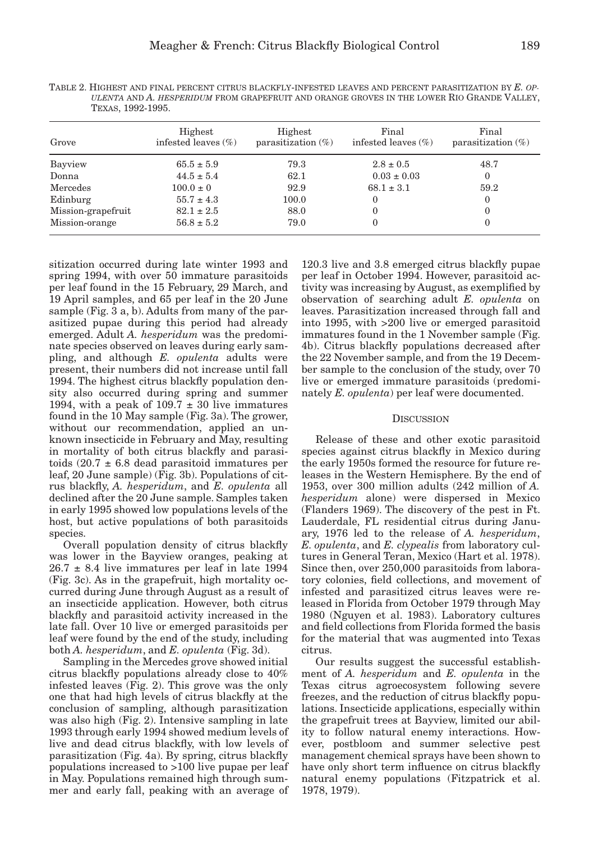TABLE 2. HIGHEST AND FINAL PERCENT CITRUS BLACKFLY-INFESTED LEAVES AND PERCENT PARASITIZATION BY *E. OP-ULENTA* AND *A. HESPERIDUM* FROM GRAPEFRUIT AND ORANGE GROVES IN THE LOWER RIO GRANDE VALLEY, TEXAS, 1992-1995.

| Grove              | Highest<br>infested leaves $(\% )$ | Highest<br>parasitization $(\%)$ | Final<br>infested leaves $(\%)$ | Final<br>parasitization $(\%)$ |
|--------------------|------------------------------------|----------------------------------|---------------------------------|--------------------------------|
| Bayview            | $65.5 \pm 5.9$                     | 79.3                             | $2.8 \pm 0.5$                   | 48.7                           |
| Donna              | $44.5 \pm 5.4$                     | 62.1                             | $0.03 \pm 0.03$                 | $\Omega$                       |
| Mercedes           | $100.0 \pm 0$                      | 92.9                             | $68.1 \pm 3.1$                  | 59.2                           |
| Edinburg           | $55.7 \pm 4.3$                     | 100.0                            | $\bf{0}$                        | $\bf{0}$                       |
| Mission-grapefruit | $82.1 \pm 2.5$                     | 88.0                             | $\theta$                        | $\theta$                       |
| Mission-orange     | $56.8 \pm 5.2$                     | 79.0                             | $\Omega$                        | $\theta$                       |

sitization occurred during late winter 1993 and spring 1994, with over 50 immature parasitoids per leaf found in the 15 February, 29 March, and 19 April samples, and 65 per leaf in the 20 June sample (Fig. 3 a, b). Adults from many of the parasitized pupae during this period had already emerged. Adult *A. hesperidum* was the predominate species observed on leaves during early sampling, and although *E. opulenta* adults were present, their numbers did not increase until fall 1994. The highest citrus blackfly population density also occurred during spring and summer 1994, with a peak of  $109.7 \pm 30$  live immatures found in the 10 May sample (Fig. 3a). The grower, without our recommendation, applied an unknown insecticide in February and May, resulting in mortality of both citrus blackfly and parasitoids  $(20.7 \pm 6.8$  dead parasitoid immatures per leaf, 20 June sample) (Fig. 3b). Populations of citrus blackfly, *A. hesperidum*, and *E. opulenta* all declined after the 20 June sample. Samples taken in early 1995 showed low populations levels of the host, but active populations of both parasitoids species.

Overall population density of citrus blackfly was lower in the Bayview oranges, peaking at  $26.7 \pm 8.4$  live immatures per leaf in late 1994 (Fig. 3c). As in the grapefruit, high mortality occurred during June through August as a result of an insecticide application. However, both citrus blackfly and parasitoid activity increased in the late fall. Over 10 live or emerged parasitoids per leaf were found by the end of the study, including both *A. hesperidum*, and *E. opulenta* (Fig. 3d).

Sampling in the Mercedes grove showed initial citrus blackfly populations already close to 40% infested leaves (Fig. 2). This grove was the only one that had high levels of citrus blackfly at the conclusion of sampling, although parasitization was also high (Fig. 2). Intensive sampling in late 1993 through early 1994 showed medium levels of live and dead citrus blackfly, with low levels of parasitization (Fig. 4a). By spring, citrus blackfly populations increased to >100 live pupae per leaf in May. Populations remained high through summer and early fall, peaking with an average of 120.3 live and 3.8 emerged citrus blackfly pupae per leaf in October 1994. However, parasitoid activity was increasing by August, as exemplified by observation of searching adult *E. opulenta* on leaves. Parasitization increased through fall and into 1995, with >200 live or emerged parasitoid immatures found in the 1 November sample (Fig. 4b). Citrus blackfly populations decreased after the 22 November sample, and from the 19 December sample to the conclusion of the study, over 70 live or emerged immature parasitoids (predominately *E. opulenta*) per leaf were documented.

### **DISCUSSION**

Release of these and other exotic parasitoid species against citrus blackfly in Mexico during the early 1950s formed the resource for future releases in the Western Hemisphere. By the end of 1953, over 300 million adults (242 million of *A. hesperidum* alone) were dispersed in Mexico (Flanders 1969). The discovery of the pest in Ft. Lauderdale, FL residential citrus during January, 1976 led to the release of *A. hesperidum*, *E. opulenta*, and *E. clypealis* from laboratory cultures in General Teran, Mexico (Hart et al. 1978). Since then, over 250,000 parasitoids from laboratory colonies, field collections, and movement of infested and parasitized citrus leaves were released in Florida from October 1979 through May 1980 (Nguyen et al. 1983). Laboratory cultures and field collections from Florida formed the basis for the material that was augmented into Texas citrus.

Our results suggest the successful establishment of *A. hesperidum* and *E. opulenta* in the Texas citrus agroecosystem following severe freezes, and the reduction of citrus blackfly populations. Insecticide applications, especially within the grapefruit trees at Bayview, limited our ability to follow natural enemy interactions. However, postbloom and summer selective pest management chemical sprays have been shown to have only short term influence on citrus blackfly natural enemy populations (Fitzpatrick et al. 1978, 1979).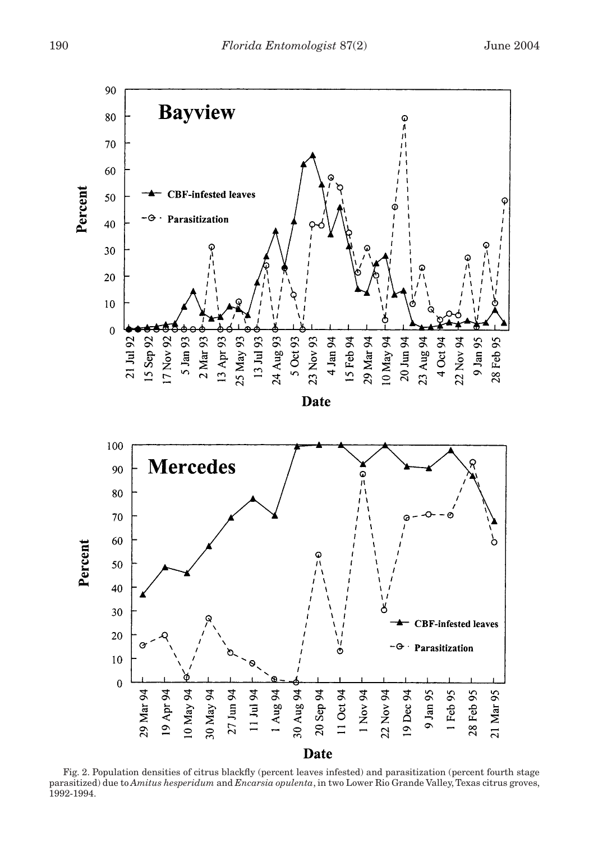

Fig. 2. Population densities of citrus blackfly (percent leaves infested) and parasitization (percent fourth stage parasitized) due to *Amitus hesperidum* and *Encarsia opulenta*, in two Lower Rio Grande Valley, Texas citrus groves, 1992-1994.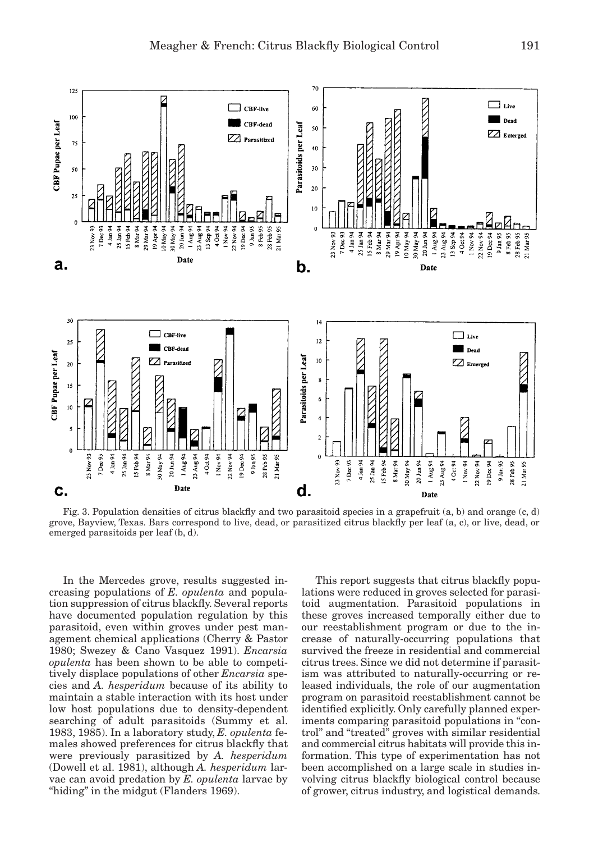

Fig. 3. Population densities of citrus blackfly and two parasitoid species in a grapefruit (a, b) and orange (c, d) grove, Bayview, Texas. Bars correspond to live, dead, or parasitized citrus blackfly per leaf (a, c), or live, dead, or emerged parasitoids per leaf (b, d).

In the Mercedes grove, results suggested increasing populations of *E. opulenta* and population suppression of citrus blackfly. Several reports have documented population regulation by this parasitoid, even within groves under pest management chemical applications (Cherry & Pastor 1980; Swezey & Cano Vasquez 1991). *Encarsia opulenta* has been shown to be able to competitively displace populations of other *Encarsia* species and *A. hesperidum* because of its ability to maintain a stable interaction with its host under low host populations due to density-dependent searching of adult parasitoids (Summy et al. 1983, 1985). In a laboratory study, *E. opulenta* females showed preferences for citrus blackfly that were previously parasitized by *A. hesperidum* (Dowell et al. 1981), although *A. hesperidum* larvae can avoid predation by *E. opulenta* larvae by "hiding" in the midgut (Flanders 1969).

This report suggests that citrus blackfly populations were reduced in groves selected for parasitoid augmentation. Parasitoid populations in these groves increased temporally either due to our reestablishment program or due to the increase of naturally-occurring populations that survived the freeze in residential and commercial citrus trees. Since we did not determine if parasitism was attributed to naturally-occurring or released individuals, the role of our augmentation program on parasitoid reestablishment cannot be identified explicitly. Only carefully planned experiments comparing parasitoid populations in "control" and "treated" groves with similar residential and commercial citrus habitats will provide this information. This type of experimentation has not been accomplished on a large scale in studies involving citrus blackfly biological control because of grower, citrus industry, and logistical demands.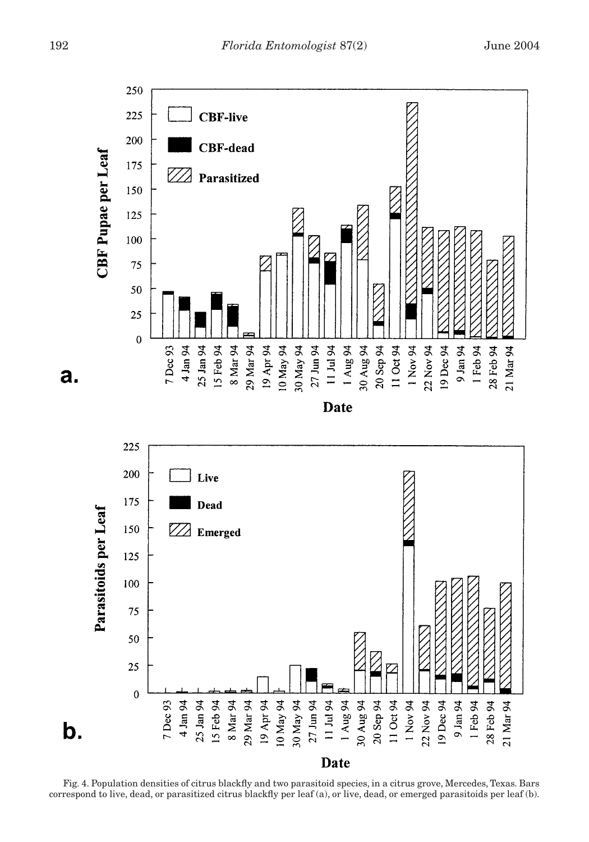



Fig. 4. Population densities of citrus blackfly and two parasitoid species, in a citrus grove, Mercedes, Texas. Bars correspond to live, dead, or parasitized citrus blackfly per leaf (a), or live, dead, or emerged parasitoids per leaf (b).